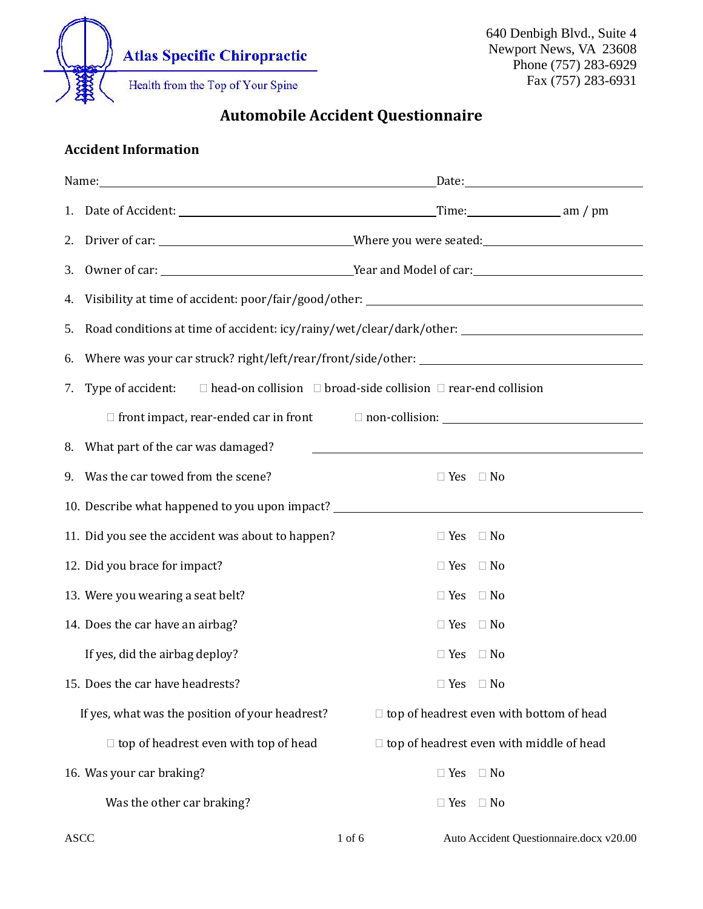

Automobile Accident Questionnaire

## Accident Information

| 3. |                                                                                                           |                                                                                                                      |
|----|-----------------------------------------------------------------------------------------------------------|----------------------------------------------------------------------------------------------------------------------|
|    |                                                                                                           |                                                                                                                      |
| 5. |                                                                                                           | Road conditions at time of accident: icy/rainy/wet/clear/dark/other: _______________________________                 |
| 6. |                                                                                                           |                                                                                                                      |
| 7. | Type of accident: $\square$ head-on collision $\square$ broad-side collision $\square$ rear-end collision |                                                                                                                      |
|    |                                                                                                           |                                                                                                                      |
|    | 8. What part of the car was damaged?                                                                      | <u> 1989 - Johann Barbara, martxa alemaniar amerikan basar da da a shekara a shekara a shekara a shekara a sheka</u> |
|    | 9. Was the car towed from the scene?                                                                      | $\Box$ Yes $\Box$ No                                                                                                 |
|    | 10. Describe what happened to you upon impact?                                                            |                                                                                                                      |
|    | 11. Did you see the accident was about to happen?                                                         | $\Box$ Yes $\Box$ No                                                                                                 |
|    | 12. Did you brace for impact?                                                                             | $\Box$ Yes $\Box$ No                                                                                                 |
|    | 13. Were you wearing a seat belt?                                                                         | $\Box$ Yes $\Box$ No                                                                                                 |
|    | 14. Does the car have an airbag?                                                                          | $\Box$ Yes $\Box$ No                                                                                                 |
|    | If yes, did the airbag deploy?                                                                            | $\Box$ Yes $\Box$ No                                                                                                 |
|    | 15. Does the car have headrests?                                                                          | $\Box$ Yes $\Box$ No                                                                                                 |
|    | If yes, what was the position of your headrest?                                                           | $\Box$ top of headrest even with bottom of head                                                                      |
|    | $\Box$ top of headrest even with top of head                                                              | $\Box$ top of headrest even with middle of head                                                                      |
|    | 16. Was your car braking?                                                                                 | $\Box$ Yes<br>$\Box$ No                                                                                              |
|    | Was the other car braking?                                                                                | $\Box$ Yes<br>$\Box$ No                                                                                              |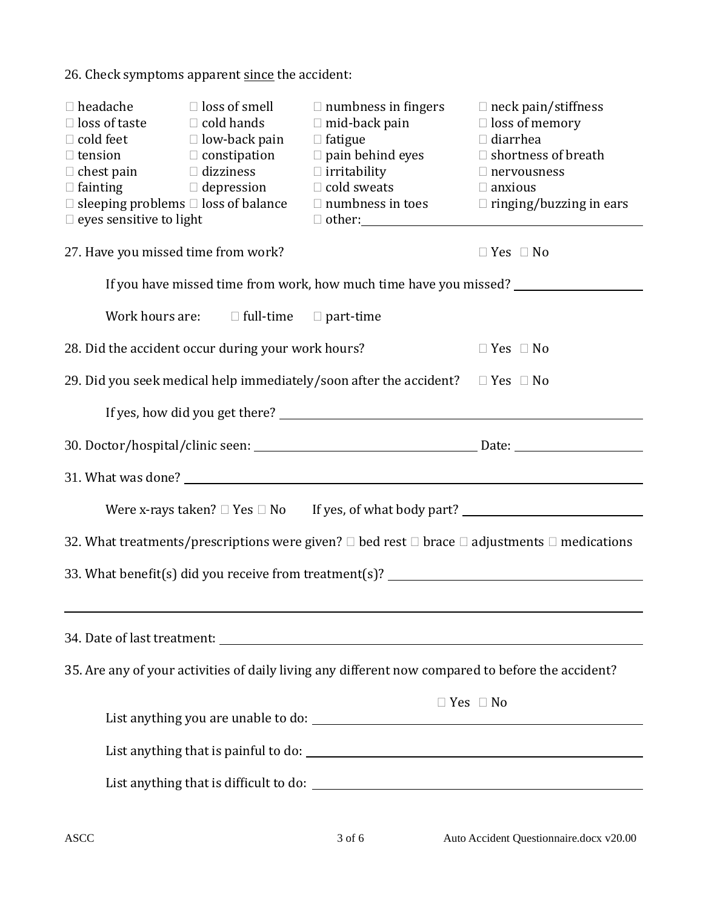26. Check symptoms apparent since the accident:

| $\Box$ headache<br>$\Box$ loss of taste $\Box$ cold hands<br>$\Box$ tension<br>$\Box$ fainting<br>$\Box$ eyes sensitive to light<br>27. Have you missed time from work? | $\Box$ loss of smell<br>$\Box$ cold feet $\Box$ low-back pain<br>$\Box$ constipation<br>$\Box$ chest pain $\Box$ dizziness<br>$\Box$ depression<br>$\Box$ sleeping problems $\Box$ loss of balance | $\Box$ numbness in fingers<br>$\Box$ mid-back pain<br>$\Box$ fatigue<br>$\Box$ pain behind eyes<br>$\Box$ irritability<br>$\Box$ cold sweats<br>$\Box$ numbness in toes $\Box$ ringing/buzzing in ears | $\Box$ neck pain/stiffness<br>$\Box$ loss of memory<br>$\Box$ diarrhea<br>$\Box$ shortness of breath<br>$\Box$ nervousness<br>$\Box$ anxious<br>$\Box$ Yes $\Box$ No |
|-------------------------------------------------------------------------------------------------------------------------------------------------------------------------|----------------------------------------------------------------------------------------------------------------------------------------------------------------------------------------------------|--------------------------------------------------------------------------------------------------------------------------------------------------------------------------------------------------------|----------------------------------------------------------------------------------------------------------------------------------------------------------------------|
|                                                                                                                                                                         |                                                                                                                                                                                                    | If you have missed time from work, how much time have you missed? ______________                                                                                                                       |                                                                                                                                                                      |
|                                                                                                                                                                         | Work hours are: $\square$ full-time $\square$ part-time                                                                                                                                            |                                                                                                                                                                                                        |                                                                                                                                                                      |
|                                                                                                                                                                         | 28. Did the accident occur during your work hours?                                                                                                                                                 |                                                                                                                                                                                                        | $\Box$ Yes $\Box$ No                                                                                                                                                 |
|                                                                                                                                                                         |                                                                                                                                                                                                    | 29. Did you seek medical help immediately/soon after the accident? $\square$ Yes $\square$ No                                                                                                          |                                                                                                                                                                      |
|                                                                                                                                                                         |                                                                                                                                                                                                    |                                                                                                                                                                                                        |                                                                                                                                                                      |
|                                                                                                                                                                         |                                                                                                                                                                                                    |                                                                                                                                                                                                        | 30. Doctor/hospital/clinic seen: Date: Date: Date: Date: Date: Date: Date: Date: Date: Date: Date: D                                                                 |
|                                                                                                                                                                         |                                                                                                                                                                                                    |                                                                                                                                                                                                        |                                                                                                                                                                      |
|                                                                                                                                                                         |                                                                                                                                                                                                    |                                                                                                                                                                                                        |                                                                                                                                                                      |
| 32. What treatments/prescriptions were given? $\Box$ bed rest $\Box$ brace $\Box$ adjustments $\Box$ medications                                                        |                                                                                                                                                                                                    |                                                                                                                                                                                                        |                                                                                                                                                                      |
|                                                                                                                                                                         |                                                                                                                                                                                                    |                                                                                                                                                                                                        | 33. What benefit(s) did you receive from treatment(s)? __________________________                                                                                    |
|                                                                                                                                                                         |                                                                                                                                                                                                    |                                                                                                                                                                                                        |                                                                                                                                                                      |
|                                                                                                                                                                         |                                                                                                                                                                                                    |                                                                                                                                                                                                        |                                                                                                                                                                      |
|                                                                                                                                                                         |                                                                                                                                                                                                    | 35. Are any of your activities of daily living any different now compared to before the accident?                                                                                                      |                                                                                                                                                                      |
|                                                                                                                                                                         |                                                                                                                                                                                                    |                                                                                                                                                                                                        | $\Box$ Yes $\Box$ No                                                                                                                                                 |
|                                                                                                                                                                         |                                                                                                                                                                                                    |                                                                                                                                                                                                        |                                                                                                                                                                      |
|                                                                                                                                                                         |                                                                                                                                                                                                    |                                                                                                                                                                                                        |                                                                                                                                                                      |
|                                                                                                                                                                         |                                                                                                                                                                                                    |                                                                                                                                                                                                        |                                                                                                                                                                      |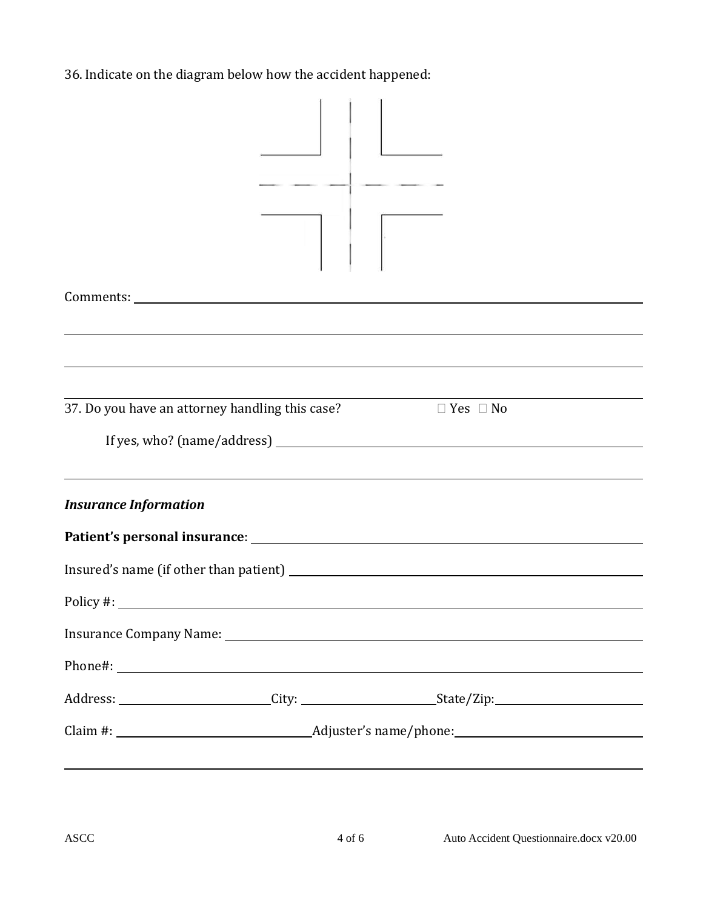36. Indicate on the diagram below how the accident happened:

| 37. Do you have an attorney handling this case? | $\Box$ Yes $\Box$ No                                                                                                   |  |
|-------------------------------------------------|------------------------------------------------------------------------------------------------------------------------|--|
|                                                 |                                                                                                                        |  |
| <b>Insurance Information</b>                    |                                                                                                                        |  |
|                                                 |                                                                                                                        |  |
|                                                 |                                                                                                                        |  |
| Policy #:                                       |                                                                                                                        |  |
|                                                 |                                                                                                                        |  |
|                                                 |                                                                                                                        |  |
|                                                 |                                                                                                                        |  |
|                                                 |                                                                                                                        |  |
|                                                 | <u> 1989 - Andrea Santana, amerikana amerikana amerikana amerikana amerikana amerikana amerikana amerikana amerika</u> |  |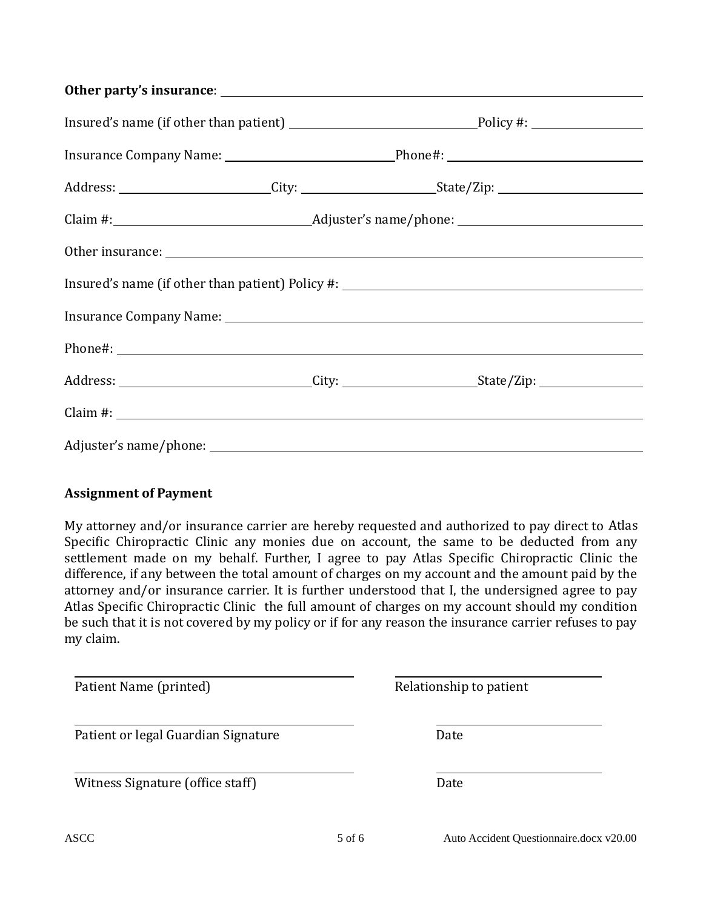## Other party's insurance:

|                                                                                                                                                                                                                                |  | Insured's name (if other than patient) Policy #: ________________________________ |  |
|--------------------------------------------------------------------------------------------------------------------------------------------------------------------------------------------------------------------------------|--|-----------------------------------------------------------------------------------|--|
|                                                                                                                                                                                                                                |  |                                                                                   |  |
|                                                                                                                                                                                                                                |  |                                                                                   |  |
|                                                                                                                                                                                                                                |  |                                                                                   |  |
|                                                                                                                                                                                                                                |  |                                                                                   |  |
| Adjuster's name/phone: Note and the same of the same of the same of the same of the same of the same of the same of the same of the same of the same of the same of the same of the same of the same of the same of the same o |  |                                                                                   |  |

## Assignment of Payment

My attorney and/or insurance carrier are hereby requested and authorized to pay direct to Atlas Specific Chiropractic Clinic any monies due on account, the same to be deducted from any settlement made on my behalf. Further, I agree to pay Atlas Specific Chiropractic Clinic the difference, if any between the total amount of charges on my account and the amount paid by the attorney and/or insurance carrier. It is further understood that I, the undersigned agree to pay Atlas Specific Chiropractic Clinic the full amount of charges on my account should my condition be such that it is not covered by my policy or if for any reason the insurance carrier refuses to pay my claim.

| Patient Name (printed)              | Relationship to patient |
|-------------------------------------|-------------------------|
| Patient or legal Guardian Signature | Date                    |
| Witness Signature (office staff)    | Date                    |
|                                     |                         |